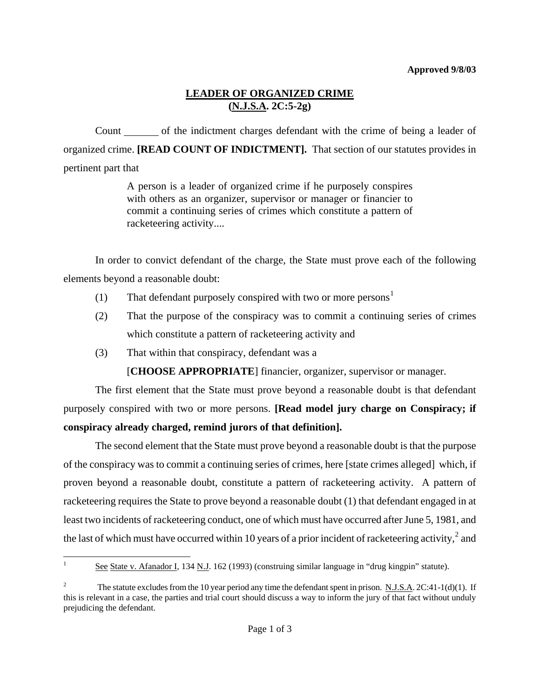## **LEADER OF ORGANIZED CRIME (N.J.S.A. 2C:5-2g)**

Count of the indictment charges defendant with the crime of being a leader of organized crime. **[READ COUNT OF INDICTMENT].** That section of our statutes provides in pertinent part that

> A person is a leader of organized crime if he purposely conspires with others as an organizer, supervisor or manager or financier to commit a continuing series of crimes which constitute a pattern of racketeering activity....

In order to convict defendant of the charge, the State must prove each of the following elements beyond a reasonable doubt:

- ([1](#page-0-0)) That defendant purposely conspired with two or more persons<sup>1</sup>
- (2) That the purpose of the conspiracy was to commit a continuing series of crimes which constitute a pattern of racketeering activity and
- (3) That within that conspiracy, defendant was a

[**CHOOSE APPROPRIATE**] financier, organizer, supervisor or manager.

The first element that the State must prove beyond a reasonable doubt is that defendant purposely conspired with two or more persons. **[Read model jury charge on Conspiracy; if conspiracy already charged, remind jurors of that definition].**

The second element that the State must prove beyond a reasonable doubt is that the purpose of the conspiracy was to commit a continuing series of crimes, here [state crimes alleged] which, if proven beyond a reasonable doubt, constitute a pattern of racketeering activity. A pattern of racketeering requires the State to prove beyond a reasonable doubt (1) that defendant engaged in at least two incidents of racketeering conduct, one of which must have occurred after June 5, 1981, and the last of which must have occurred within 10 years of a prior incident of racketeering activity,<sup>[2](#page-0-1)</sup> and

<span id="page-0-2"></span><span id="page-0-0"></span> $\mathbf{1}$ See State v. Afanador I, 134 N.J. 162 (1993) (construing similar language in "drug kingpin" statute).

<span id="page-0-1"></span><sup>2</sup> The statute excludes from the 10 year period any time the defendant spent in prison. N.J.S.A. 2C:41-1(d)(1). If this is relevant in a case, the parties and trial court should discuss a way to inform the jury of that fact without unduly prejudicing the defendant.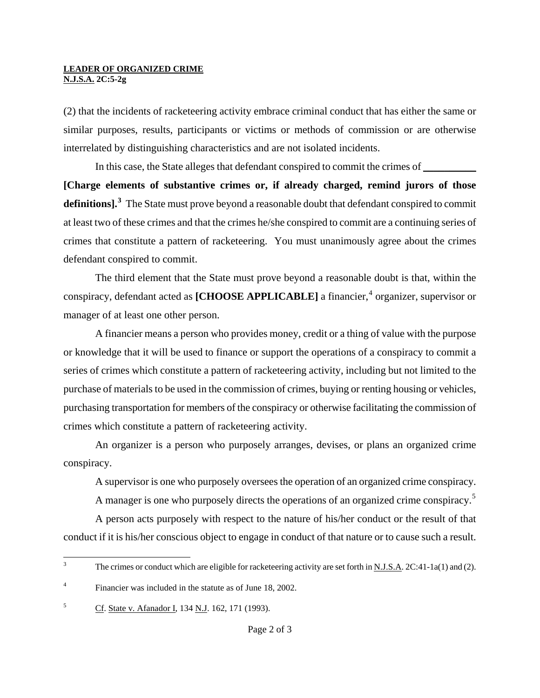## **LEADER OF ORGANIZED CRIME N.J.S.A. 2C:5-2g**

(2) that the incidents of racketeering activity embrace criminal conduct that has either the same or similar purposes, results, participants or victims or methods of commission or are otherwise interrelated by distinguishing characteristics and are not isolated incidents.

In this case, the State alleges that defendant conspired to commit the crimes of **[Charge elements of substantive crimes or, if already charged, remind jurors of those definitions].[3](#page-0-2)** The State must prove beyond a reasonable doubt that defendant conspired to commit at least two of these crimes and that the crimes he/she conspired to commit are a continuing series of crimes that constitute a pattern of racketeering. You must unanimously agree about the crimes defendant conspired to commit.

The third element that the State must prove beyond a reasonable doubt is that, within the conspiracy, defendant acted as [CHOOSE APPLICABLE] a financier,<sup>[4](#page-1-0)</sup> organizer, supervisor or manager of at least one other person.

A financier means a person who provides money, credit or a thing of value with the purpose or knowledge that it will be used to finance or support the operations of a conspiracy to commit a series of crimes which constitute a pattern of racketeering activity, including but not limited to the purchase of materials to be used in the commission of crimes, buying or renting housing or vehicles, purchasing transportation for members of the conspiracy or otherwise facilitating the commission of crimes which constitute a pattern of racketeering activity.

An organizer is a person who purposely arranges, devises, or plans an organized crime conspiracy.

A supervisor is one who purposely oversees the operation of an organized crime conspiracy.

A manager is one who purposely directs the operations of an organized crime conspiracy.<sup>[5](#page-1-1)</sup>

A person acts purposely with respect to the nature of his/her conduct or the result of that conduct if it is his/her conscious object to engage in conduct of that nature or to cause such a result.

 $\frac{1}{3}$ The crimes or conduct which are eligible for racketeering activity are set forth in N.J.S.A. 2C:41-1a(1) and (2).

<span id="page-1-0"></span><sup>4</sup> Financier was included in the statute as of June 18, 2002.

<span id="page-1-1"></span><sup>&</sup>lt;sup>5</sup> Cf. State v. Afanador I, 134 N.J. 162, 171 (1993).